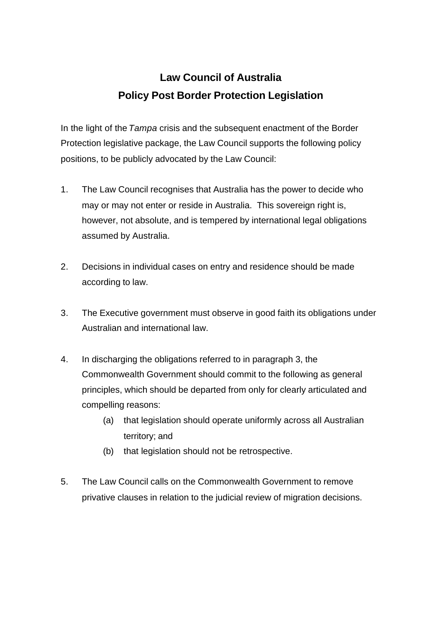## **Law Council of Australia Policy Post Border Protection Legislation**

In the light of the *Tampa* crisis and the subsequent enactment of the Border Protection legislative package, the Law Council supports the following policy positions, to be publicly advocated by the Law Council:

- 1. The Law Council recognises that Australia has the power to decide who may or may not enter or reside in Australia. This sovereign right is, however, not absolute, and is tempered by international legal obligations assumed by Australia.
- 2. Decisions in individual cases on entry and residence should be made according to law.
- 3. The Executive government must observe in good faith its obligations under Australian and international law.
- 4. In discharging the obligations referred to in paragraph 3, the Commonwealth Government should commit to the following as general principles, which should be departed from only for clearly articulated and compelling reasons:
	- (a) that legislation should operate uniformly across all Australian territory; and
	- (b) that legislation should not be retrospective.
- 5. The Law Council calls on the Commonwealth Government to remove privative clauses in relation to the judicial review of migration decisions.